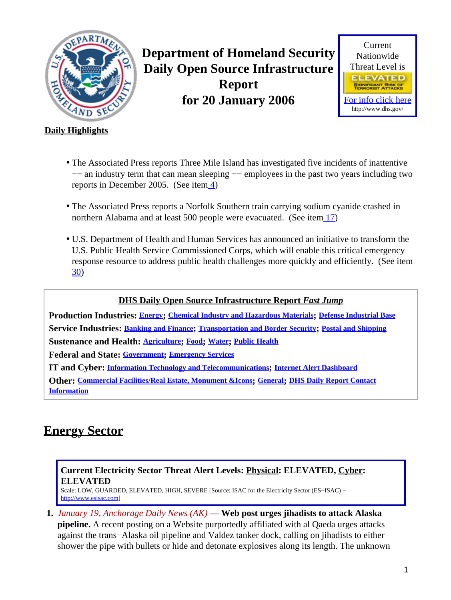<span id="page-0-1"></span>

**Department of Homeland Security Daily Open Source Infrastructure Report for 20 January 2006**



### **Daily Highlights**

- The Associated Press reports Three Mile Island has investigated five incidents of inattentive −− an industry term that can mean sleeping −− employees in the past two years including two reports in December 2005. (See ite[m 4\)](#page-2-0)
- The Associated Press reports a Norfolk Southern train carrying sodium cyanide crashed in northern Alabama and at least 500 people were evacuated. (See item [17\)](#page-6-0)
- U.S. Department of Health and Human Services has announced an initiative to transform the U.S. Public Health Service Commissioned Corps, which will enable this critical emergency response resource to address public health challenges more quickly and efficiently. (See item [30\)](#page-11-0)

### **DHS Daily Open Source Infrastructure Report** *Fast Jump*

**Production Industries: [Energy](#page-0-0); [Chemical Industry and Hazardous Materials](#page-3-0); [Defense Industrial Base](#page-3-1) Service Industries: [Banking and Finance](#page-3-2); [Transportation and Border Security](#page-5-0); [Postal and Shipping](#page-7-0) Sustenance and Health: [Agriculture](#page-7-1); [Food](#page-8-0); [Water](#page-9-0); [Public Health](#page-9-1)**

**Federal and State: [Government](#page-12-0); [Emergency Services](#page-13-0)**

**IT and Cyber: [Information Technology and Telecommunications](#page-14-0); [Internet Alert Dashboard](#page-16-0)**

**Other: [Commercial Facilities/Real Estate, Monument &Icons](#page-17-0); [General](#page-17-1); [DHS Daily Report Contact](#page-17-2) [Information](#page-17-2)**

# <span id="page-0-0"></span>**Energy Sector**

### **Current Electricity Sector Threat Alert Levels: Physical: ELEVATED, Cyber: ELEVATED**

Scale: LOW, GUARDED, ELEVATED, HIGH, SEVERE [Source: ISAC for the Electricity Sector (ES−ISAC) − [http://www.esisac.com](http://esisac.com)]

**1.** *January 19, Anchorage Daily News (AK)* — **Web post urges jihadists to attack Alaska pipeline.** A recent posting on a Website purportedly affiliated with al Qaeda urges attacks against the trans−Alaska oil pipeline and Valdez tanker dock, calling on jihadists to either shower the pipe with bullets or hide and detonate explosives along its length. The unknown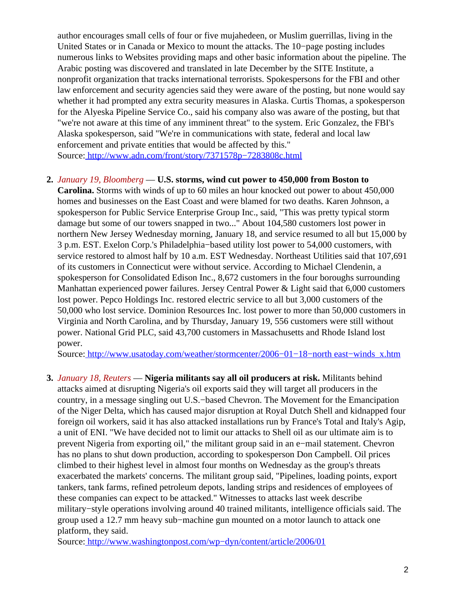author encourages small cells of four or five mujahedeen, or Muslim guerrillas, living in the United States or in Canada or Mexico to mount the attacks. The 10−page posting includes numerous links to Websites providing maps and other basic information about the pipeline. The Arabic posting was discovered and translated in late December by the SITE Institute, a nonprofit organization that tracks international terrorists. Spokespersons for the FBI and other law enforcement and security agencies said they were aware of the posting, but none would say whether it had prompted any extra security measures in Alaska. Curtis Thomas, a spokesperson for the Alyeska Pipeline Service Co., said his company also was aware of the posting, but that "we're not aware at this time of any imminent threat" to the system. Eric Gonzalez, the FBI's Alaska spokesperson, said "We're in communications with state, federal and local law enforcement and private entities that would be affected by this." Source[: http://www.adn.com/front/story/7371578p−7283808c.html](http://www.adn.com/front/story/7371578p-7283808c.html)

### **2.** *January 19, Bloomberg* — **U.S. storms, wind cut power to 450,000 from Boston to**

**Carolina.** Storms with winds of up to 60 miles an hour knocked out power to about 450,000 homes and businesses on the East Coast and were blamed for two deaths. Karen Johnson, a spokesperson for Public Service Enterprise Group Inc., said, "This was pretty typical storm damage but some of our towers snapped in two..." About 104,580 customers lost power in northern New Jersey Wednesday morning, January 18, and service resumed to all but 15,000 by 3 p.m. EST. Exelon Corp.'s Philadelphia−based utility lost power to 54,000 customers, with service restored to almost half by 10 a.m. EST Wednesday. Northeast Utilities said that 107,691 of its customers in Connecticut were without service. According to Michael Clendenin, a spokesperson for Consolidated Edison Inc., 8,672 customers in the four boroughs surrounding Manhattan experienced power failures. Jersey Central Power & Light said that 6,000 customers lost power. Pepco Holdings Inc. restored electric service to all but 3,000 customers of the 50,000 who lost service. Dominion Resources Inc. lost power to more than 50,000 customers in Virginia and North Carolina, and by Thursday, January 19, 556 customers were still without power. National Grid PLC, said 43,700 customers in Massachusetts and Rhode Island lost power.

Source[: http://www.usatoday.com/weather/stormcenter/2006−01−18−north east−winds\\_x.htm](http://www.usatoday.com/weather/stormcenter/2006-01-18-northeast-winds_x.htm)

**3.** *January 18, Reuters* — **Nigeria militants say all oil producers at risk.** Militants behind attacks aimed at disrupting Nigeria's oil exports said they will target all producers in the country, in a message singling out U.S.−based Chevron. The Movement for the Emancipation of the Niger Delta, which has caused major disruption at Royal Dutch Shell and kidnapped four foreign oil workers, said it has also attacked installations run by France's Total and Italy's Agip, a unit of ENI. "We have decided not to limit our attacks to Shell oil as our ultimate aim is to prevent Nigeria from exporting oil," the militant group said in an e−mail statement. Chevron has no plans to shut down production, according to spokesperson Don Campbell. Oil prices climbed to their highest level in almost four months on Wednesday as the group's threats exacerbated the markets' concerns. The militant group said, "Pipelines, loading points, export tankers, tank farms, refined petroleum depots, landing strips and residences of employees of these companies can expect to be attacked." Witnesses to attacks last week describe military−style operations involving around 40 trained militants, intelligence officials said. The group used a 12.7 mm heavy sub−machine gun mounted on a motor launch to attack one platform, they said.

Source[: http://www.washingtonpost.com/wp−dyn/content/article/2006/01](http://www.washingtonpost.com/wp-dyn/content/article/2006/01/18/AR2006011801812_pf.html)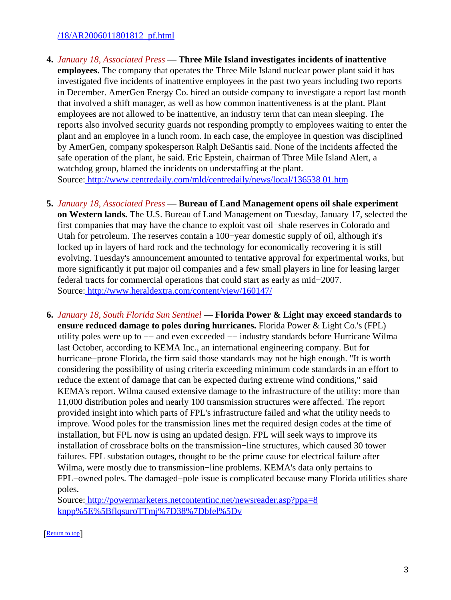### [/18/AR2006011801812\\_pf.html](http://www.washingtonpost.com/wp-dyn/content/article/2006/01/18/AR2006011801812_pf.html)

- <span id="page-2-0"></span>**4.** *January 18, Associated Press* — **Three Mile Island investigates incidents of inattentive employees.** The company that operates the Three Mile Island nuclear power plant said it has investigated five incidents of inattentive employees in the past two years including two reports in December. AmerGen Energy Co. hired an outside company to investigate a report last month that involved a shift manager, as well as how common inattentiveness is at the plant. Plant employees are not allowed to be inattentive, an industry term that can mean sleeping. The reports also involved security guards not responding promptly to employees waiting to enter the plant and an employee in a lunch room. In each case, the employee in question was disciplined by AmerGen, company spokesperson Ralph DeSantis said. None of the incidents affected the safe operation of the plant, he said. Eric Epstein, chairman of Three Mile Island Alert, a watchdog group, blamed the incidents on understaffing at the plant. Source[: http://www.centredaily.com/mld/centredaily/news/local/136538 01.htm](http://www.centredaily.com/mld/centredaily/news/local/13653801.htm)
- **5.** *January 18, Associated Press* — **Bureau of Land Management opens oil shale experiment on Western lands.** The U.S. Bureau of Land Management on Tuesday, January 17, selected the first companies that may have the chance to exploit vast oil−shale reserves in Colorado and Utah for petroleum. The reserves contain a 100−year domestic supply of oil, although it's locked up in layers of hard rock and the technology for economically recovering it is still evolving. Tuesday's announcement amounted to tentative approval for experimental works, but more significantly it put major oil companies and a few small players in line for leasing larger federal tracts for commercial operations that could start as early as mid−2007. Source[: http://www.heraldextra.com/content/view/160147/](http://www.heraldextra.com/content/view/160147/)
- **6.** *January 18, South Florida Sun Sentinel* — **Florida Power & Light may exceed standards to ensure reduced damage to poles during hurricanes.** Florida Power & Light Co.'s (FPL) utility poles were up to −− and even exceeded −− industry standards before Hurricane Wilma last October, according to KEMA Inc., an international engineering company. But for hurricane−prone Florida, the firm said those standards may not be high enough. "It is worth considering the possibility of using criteria exceeding minimum code standards in an effort to reduce the extent of damage that can be expected during extreme wind conditions," said KEMA's report. Wilma caused extensive damage to the infrastructure of the utility: more than 11,000 distribution poles and nearly 100 transmission structures were affected. The report provided insight into which parts of FPL's infrastructure failed and what the utility needs to improve. Wood poles for the transmission lines met the required design codes at the time of installation, but FPL now is using an updated design. FPL will seek ways to improve its installation of crossbrace bolts on the transmission−line structures, which caused 30 tower failures. FPL substation outages, thought to be the prime cause for electrical failure after Wilma, were mostly due to transmission−line problems. KEMA's data only pertains to FPL−owned poles. The damaged−pole issue is complicated because many Florida utilities share poles.

Source[: http://powermarketers.netcontentinc.net/newsreader.asp?ppa=8](http://powermarketers.netcontentinc.net/newsreader.asp?ppa=8knpp%5E%5BflqsuroTTmj%7D38%7Dbfel%5Dv) [knpp%5E%5BflqsuroTTmj%7D38%7Dbfel%5Dv](http://powermarketers.netcontentinc.net/newsreader.asp?ppa=8knpp%5E%5BflqsuroTTmj%7D38%7Dbfel%5Dv)

#### [[Return to top](#page-0-1)]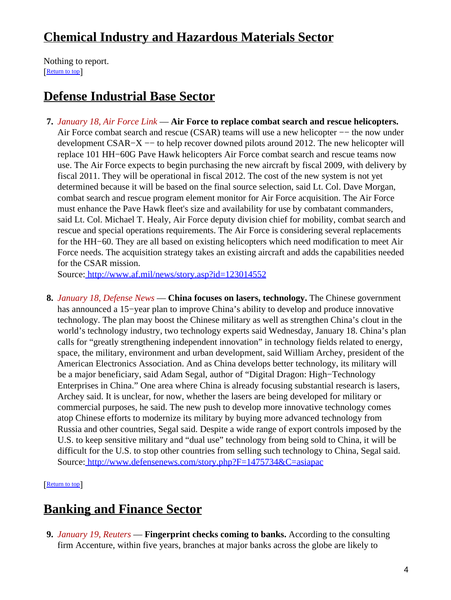# <span id="page-3-0"></span>**Chemical Industry and Hazardous Materials Sector**

Nothing to report. [[Return to top](#page-0-1)]

# <span id="page-3-1"></span>**Defense Industrial Base Sector**

**7.** *January 18, Air Force Link* — **Air Force to replace combat search and rescue helicopters.** Air Force combat search and rescue (CSAR) teams will use a new helicopter –− the now under development CSAR−X –– to help recover downed pilots around 2012. The new helicopter will replace 101 HH−60G Pave Hawk helicopters Air Force combat search and rescue teams now use. The Air Force expects to begin purchasing the new aircraft by fiscal 2009, with delivery by fiscal 2011. They will be operational in fiscal 2012. The cost of the new system is not yet determined because it will be based on the final source selection, said Lt. Col. Dave Morgan, combat search and rescue program element monitor for Air Force acquisition. The Air Force must enhance the Pave Hawk fleet's size and availability for use by combatant commanders, said Lt. Col. Michael T. Healy, Air Force deputy division chief for mobility, combat search and rescue and special operations requirements. The Air Force is considering several replacements for the HH−60. They are all based on existing helicopters which need modification to meet Air Force needs. The acquisition strategy takes an existing aircraft and adds the capabilities needed for the CSAR mission.

Source[: http://www.af.mil/news/story.asp?id=123014552](http://www.af.mil/news/story.asp?id=123014552)

**8.** *January 18, Defense News* — **China focuses on lasers, technology.** The Chinese government has announced a 15−year plan to improve China's ability to develop and produce innovative technology. The plan may boost the Chinese military as well as strengthen China's clout in the world's technology industry, two technology experts said Wednesday, January 18. China's plan calls for "greatly strengthening independent innovation" in technology fields related to energy, space, the military, environment and urban development, said William Archey, president of the American Electronics Association. And as China develops better technology, its military will be a major beneficiary, said Adam Segal, author of "Digital Dragon: High−Technology Enterprises in China." One area where China is already focusing substantial research is lasers, Archey said. It is unclear, for now, whether the lasers are being developed for military or commercial purposes, he said. The new push to develop more innovative technology comes atop Chinese efforts to modernize its military by buying more advanced technology from Russia and other countries, Segal said. Despite a wide range of export controls imposed by the U.S. to keep sensitive military and "dual use" technology from being sold to China, it will be difficult for the U.S. to stop other countries from selling such technology to China, Segal said. Source[: http://www.defensenews.com/story.php?F=1475734&C=asiapac](http://www.defensenews.com/story.php?F=1475734&C=asiapac)

[[Return to top](#page-0-1)]

# <span id="page-3-2"></span>**Banking and Finance Sector**

**9.** *January 19, Reuters* — **Fingerprint checks coming to banks.** According to the consulting firm Accenture, within five years, branches at major banks across the globe are likely to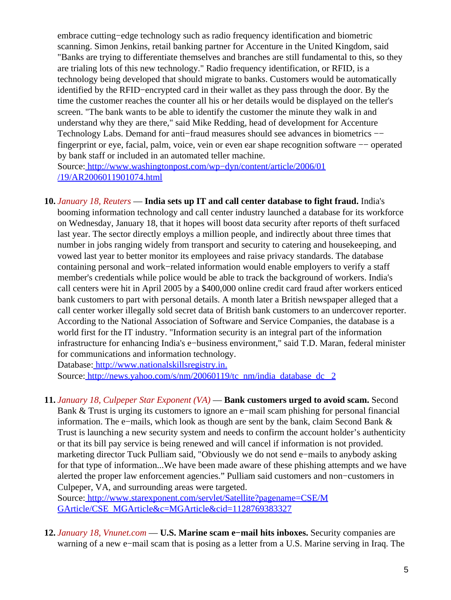embrace cutting−edge technology such as radio frequency identification and biometric scanning. Simon Jenkins, retail banking partner for Accenture in the United Kingdom, said "Banks are trying to differentiate themselves and branches are still fundamental to this, so they are trialing lots of this new technology." Radio frequency identification, or RFID, is a technology being developed that should migrate to banks. Customers would be automatically identified by the RFID−encrypted card in their wallet as they pass through the door. By the time the customer reaches the counter all his or her details would be displayed on the teller's screen. "The bank wants to be able to identify the customer the minute they walk in and understand why they are there," said Mike Redding, head of development for Accenture Technology Labs. Demand for anti–fraud measures should see advances in biometrics −− fingerprint or eye, facial, palm, voice, vein or even ear shape recognition software −− operated by bank staff or included in an automated teller machine.

Source[: http://www.washingtonpost.com/wp−dyn/content/article/2006/01](http://www.washingtonpost.com/wp-dyn/content/article/2006/01/19/AR2006011901074.html) [/19/AR2006011901074.html](http://www.washingtonpost.com/wp-dyn/content/article/2006/01/19/AR2006011901074.html)

**10.** *January 18, Reuters* — **India sets up IT and call center database to fight fraud.** India's booming information technology and call center industry launched a database for its workforce on Wednesday, January 18, that it hopes will boost data security after reports of theft surfaced last year. The sector directly employs a million people, and indirectly about three times that number in jobs ranging widely from transport and security to catering and housekeeping, and vowed last year to better monitor its employees and raise privacy standards. The database containing personal and work−related information would enable employers to verify a staff member's credentials while police would be able to track the background of workers. India's call centers were hit in April 2005 by a \$400,000 online credit card fraud after workers enticed bank customers to part with personal details. A month later a British newspaper alleged that a call center worker illegally sold secret data of British bank customers to an undercover reporter. According to the National Association of Software and Service Companies, the database is a world first for the IT industry. "Information security is an integral part of the information infrastructure for enhancing India's e−business environment," said T.D. Maran, federal minister for communications and information technology.

Database[: http://www.nationalskillsregistry.in.](http://www.nationalskillsregistry.in.) Source[: http://news.yahoo.com/s/nm/20060119/tc\\_nm/india\\_database\\_dc\\_ 2](http://news.yahoo.com/s/nm/20060119/tc_nm/india_database_dc_2)

**11.** *January 18, Culpeper Star Exponent (VA)* — **Bank customers urged to avoid scam.** Second Bank & Trust is urging its customers to ignore an e−mail scam phishing for personal financial information. The e−mails, which look as though are sent by the bank, claim Second Bank & Trust is launching a new security system and needs to confirm the account holder's authenticity or that its bill pay service is being renewed and will cancel if information is not provided. marketing director Tuck Pulliam said, "Obviously we do not send e−mails to anybody asking for that type of information...We have been made aware of these phishing attempts and we have alerted the proper law enforcement agencies." Pulliam said customers and non−customers in Culpeper, VA, and surrounding areas were targeted.

Source[: http://www.starexponent.com/servlet/Satellite?pagename=CSE/M](http://www.starexponent.com/servlet/Satellite?pagename=CSE/MGArticle/CSE_MGArticle&c=MGArticle&cid=1128769383327) [GArticle/CSE\\_MGArticle&c=MGArticle&cid=1128769383327](http://www.starexponent.com/servlet/Satellite?pagename=CSE/MGArticle/CSE_MGArticle&c=MGArticle&cid=1128769383327)

**12.** *January 18, Vnunet.com* — **U.S. Marine scam e−mail hits inboxes.** Security companies are warning of a new e−mail scam that is posing as a letter from a U.S. Marine serving in Iraq. The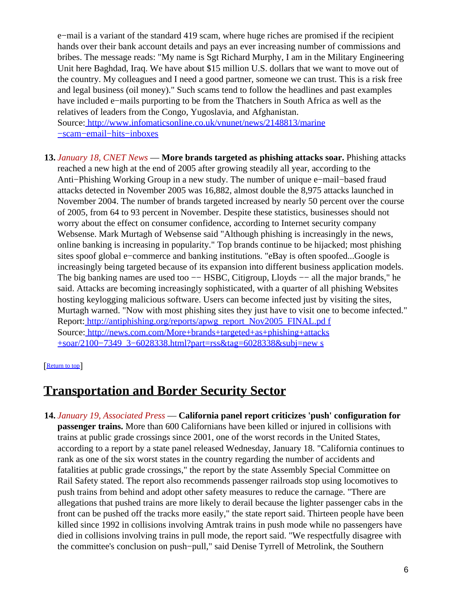e−mail is a variant of the standard 419 scam, where huge riches are promised if the recipient hands over their bank account details and pays an ever increasing number of commissions and bribes. The message reads: "My name is Sgt Richard Murphy, I am in the Military Engineering Unit here Baghdad, Iraq. We have about \$15 million U.S. dollars that we want to move out of the country. My colleagues and I need a good partner, someone we can trust. This is a risk free and legal business (oil money)." Such scams tend to follow the headlines and past examples have included e−mails purporting to be from the Thatchers in South Africa as well as the relatives of leaders from the Congo, Yugoslavia, and Afghanistan. Source[: http://www.infomaticsonline.co.uk/vnunet/news/2148813/marine](http://www.infomaticsonline.co.uk/vnunet/news/2148813/marine-scam-email-hits-inboxes)

[−scam−email−hits−inboxes](http://www.infomaticsonline.co.uk/vnunet/news/2148813/marine-scam-email-hits-inboxes)

**13.** *January 18, CNET News* — **More brands targeted as phishing attacks soar.** Phishing attacks reached a new high at the end of 2005 after growing steadily all year, according to the Anti−Phishing Working Group in a new study. The number of unique e−mail−based fraud attacks detected in November 2005 was 16,882, almost double the 8,975 attacks launched in November 2004. The number of brands targeted increased by nearly 50 percent over the course of 2005, from 64 to 93 percent in November. Despite these statistics, businesses should not worry about the effect on consumer confidence, according to Internet security company Websense. Mark Murtagh of Websense said "Although phishing is increasingly in the news, online banking is increasing in popularity." Top brands continue to be hijacked; most phishing sites spoof global e−commerce and banking institutions. "eBay is often spoofed...Google is increasingly being targeted because of its expansion into different business application models. The big banking names are used too −− HSBC, Citigroup, Lloyds −− all the major brands," he said. Attacks are becoming increasingly sophisticated, with a quarter of all phishing Websites hosting keylogging malicious software. Users can become infected just by visiting the sites, Murtagh warned. "Now with most phishing sites they just have to visit one to become infected." Report: [http://antiphishing.org/reports/apwg\\_report\\_Nov2005\\_FINAL.pd f](http://antiphishing.org/reports/apwg_report_Nov2005_FINAL.pdf) Source[: http://news.com.com/More+brands+targeted+as+phishing+attacks](http://news.com.com/More+brands+targeted+as+phishing+attacks+soar/2100-7349_3-6028338.html?part=rss&tag=6028338&subj=news) [+soar/2100−7349\\_3−6028338.html?part=rss&tag=6028338&subj=new s](http://news.com.com/More+brands+targeted+as+phishing+attacks+soar/2100-7349_3-6028338.html?part=rss&tag=6028338&subj=news)

#### [[Return to top](#page-0-1)]

## <span id="page-5-0"></span>**Transportation and Border Security Sector**

**14.** *January 19, Associated Press* — **California panel report criticizes 'push' configuration for passenger trains.** More than 600 Californians have been killed or injured in collisions with trains at public grade crossings since 2001, one of the worst records in the United States, according to a report by a state panel released Wednesday, January 18. "California continues to rank as one of the six worst states in the country regarding the number of accidents and fatalities at public grade crossings," the report by the state Assembly Special Committee on Rail Safety stated. The report also recommends passenger railroads stop using locomotives to push trains from behind and adopt other safety measures to reduce the carnage. "There are allegations that pushed trains are more likely to derail because the lighter passenger cabs in the front can be pushed off the tracks more easily," the state report said. Thirteen people have been killed since 1992 in collisions involving Amtrak trains in push mode while no passengers have died in collisions involving trains in pull mode, the report said. "We respectfully disagree with the committee's conclusion on push−pull," said Denise Tyrrell of Metrolink, the Southern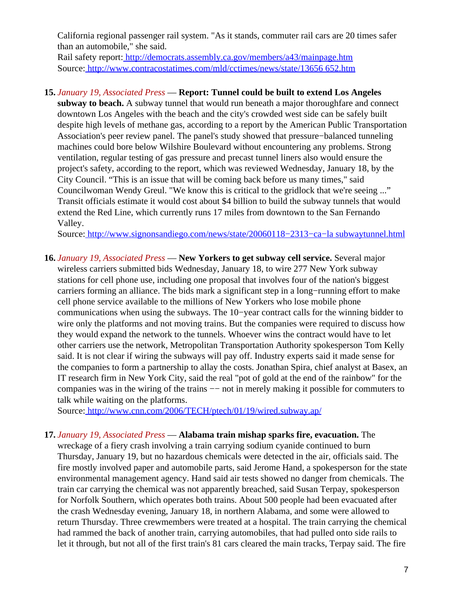California regional passenger rail system. "As it stands, commuter rail cars are 20 times safer than an automobile," she said.

Rail safety report[: http://democrats.assembly.ca.gov/members/a43/mainpage.htm](http://democrats.assembly.ca.gov/members/a43/mainpage.htm) Source[: http://www.contracostatimes.com/mld/cctimes/news/state/13656 652.htm](http://www.contracostatimes.com/mld/cctimes/news/state/13656652.htm)

### **15.** *January 19, Associated Press* — **Report: Tunnel could be built to extend Los Angeles**

**subway to beach.** A subway tunnel that would run beneath a major thoroughfare and connect downtown Los Angeles with the beach and the city's crowded west side can be safely built despite high levels of methane gas, according to a report by the American Public Transportation Association's peer review panel. The panel's study showed that pressure−balanced tunneling machines could bore below Wilshire Boulevard without encountering any problems. Strong ventilation, regular testing of gas pressure and precast tunnel liners also would ensure the project's safety, according to the report, which was reviewed Wednesday, January 18, by the City Council. "This is an issue that will be coming back before us many times," said Councilwoman Wendy Greul. "We know this is critical to the gridlock that we're seeing ..." Transit officials estimate it would cost about \$4 billion to build the subway tunnels that would extend the Red Line, which currently runs 17 miles from downtown to the San Fernando Valley.

Source[: http://www.signonsandiego.com/news/state/20060118−2313−ca−la subwaytunnel.html](http://www.signonsandiego.com/news/state/20060118-2313-ca-lasubwaytunnel.html)

**16.** *January 19, Associated Press* — **New Yorkers to get subway cell service.** Several major wireless carriers submitted bids Wednesday, January 18, to wire 277 New York subway stations for cell phone use, including one proposal that involves four of the nation's biggest carriers forming an alliance. The bids mark a significant step in a long−running effort to make cell phone service available to the millions of New Yorkers who lose mobile phone communications when using the subways. The 10−year contract calls for the winning bidder to wire only the platforms and not moving trains. But the companies were required to discuss how they would expand the network to the tunnels. Whoever wins the contract would have to let other carriers use the network, Metropolitan Transportation Authority spokesperson Tom Kelly said. It is not clear if wiring the subways will pay off. Industry experts said it made sense for the companies to form a partnership to allay the costs. Jonathan Spira, chief analyst at Basex, an IT research firm in New York City, said the real "pot of gold at the end of the rainbow" for the companies was in the wiring of the trains −− not in merely making it possible for commuters to talk while waiting on the platforms.

Source[: http://www.cnn.com/2006/TECH/ptech/01/19/wired.subway.ap/](http://www.cnn.com/2006/TECH/ptech/01/19/wired.subway.ap/)

#### <span id="page-6-0"></span>**17.** *January 19, Associated Press* — **Alabama train mishap sparks fire, evacuation.** The

wreckage of a fiery crash involving a train carrying sodium cyanide continued to burn Thursday, January 19, but no hazardous chemicals were detected in the air, officials said. The fire mostly involved paper and automobile parts, said Jerome Hand, a spokesperson for the state environmental management agency. Hand said air tests showed no danger from chemicals. The train car carrying the chemical was not apparently breached, said Susan Terpay, spokesperson for Norfolk Southern, which operates both trains. About 500 people had been evacuated after the crash Wednesday evening, January 18, in northern Alabama, and some were allowed to return Thursday. Three crewmembers were treated at a hospital. The train carrying the chemical had rammed the back of another train, carrying automobiles, that had pulled onto side rails to let it through, but not all of the first train's 81 cars cleared the main tracks, Terpay said. The fire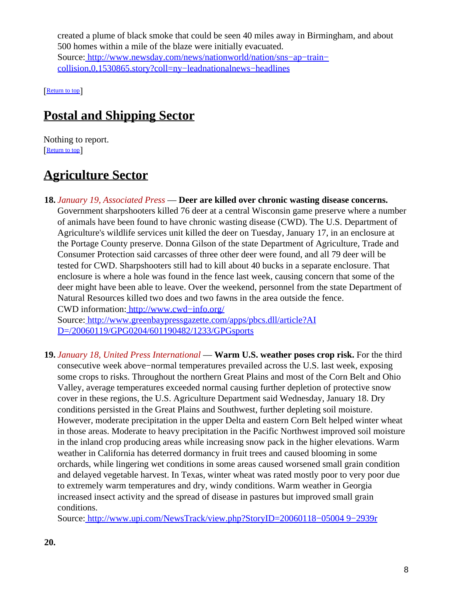created a plume of black smoke that could be seen 40 miles away in Birmingham, and about 500 homes within a mile of the blaze were initially evacuated. Source[: http://www.newsday.com/news/nationworld/nation/sns−ap−train−](http://www.newsday.com/news/nationworld/nation/sns-ap-train-collision,0,1530865.story?coll=ny-leadnationalnews-headlines) [collision,0,1530865.story?coll=ny−leadnationalnews−headlines](http://www.newsday.com/news/nationworld/nation/sns-ap-train-collision,0,1530865.story?coll=ny-leadnationalnews-headlines)

[[Return to top](#page-0-1)]

# <span id="page-7-0"></span>**Postal and Shipping Sector**

Nothing to report. [[Return to top](#page-0-1)]

# <span id="page-7-1"></span>**Agriculture Sector**

**18.** *January 19, Associated Press* — **Deer are killed over chronic wasting disease concerns.** Government sharpshooters killed 76 deer at a central Wisconsin game preserve where a number of animals have been found to have chronic wasting disease (CWD). The U.S. Department of Agriculture's wildlife services unit killed the deer on Tuesday, January 17, in an enclosure at the Portage County preserve. Donna Gilson of the state Department of Agriculture, Trade and Consumer Protection said carcasses of three other deer were found, and all 79 deer will be tested for CWD. Sharpshooters still had to kill about 40 bucks in a separate enclosure. That enclosure is where a hole was found in the fence last week, causing concern that some of the deer might have been able to leave. Over the weekend, personnel from the state Department of Natural Resources killed two does and two fawns in the area outside the fence. CWD information: [http://www.cwd−info.org/](http://www.cwd-info.org/)

Source[: http://www.greenbaypressgazette.com/apps/pbcs.dll/article?AI](http://www.greenbaypressgazette.com/apps/pbcs.dll/article?AID=/20060119/GPG0204/601190482/1233/GPGsports) [D=/20060119/GPG0204/601190482/1233/GPGsports](http://www.greenbaypressgazette.com/apps/pbcs.dll/article?AID=/20060119/GPG0204/601190482/1233/GPGsports)

**19.** *January 18, United Press International* — **Warm U.S. weather poses crop risk.** For the third consecutive week above−normal temperatures prevailed across the U.S. last week, exposing some crops to risks. Throughout the northern Great Plains and most of the Corn Belt and Ohio Valley, average temperatures exceeded normal causing further depletion of protective snow cover in these regions, the U.S. Agriculture Department said Wednesday, January 18. Dry conditions persisted in the Great Plains and Southwest, further depleting soil moisture. However, moderate precipitation in the upper Delta and eastern Corn Belt helped winter wheat in those areas. Moderate to heavy precipitation in the Pacific Northwest improved soil moisture in the inland crop producing areas while increasing snow pack in the higher elevations. Warm weather in California has deterred dormancy in fruit trees and caused blooming in some orchards, while lingering wet conditions in some areas caused worsened small grain condition and delayed vegetable harvest. In Texas, winter wheat was rated mostly poor to very poor due to extremely warm temperatures and dry, windy conditions. Warm weather in Georgia increased insect activity and the spread of disease in pastures but improved small grain conditions.

Source[: http://www.upi.com/NewsTrack/view.php?StoryID=20060118−05004 9−2939r](http://www.upi.com/NewsTrack/view.php?StoryID=20060118-050049-2939r)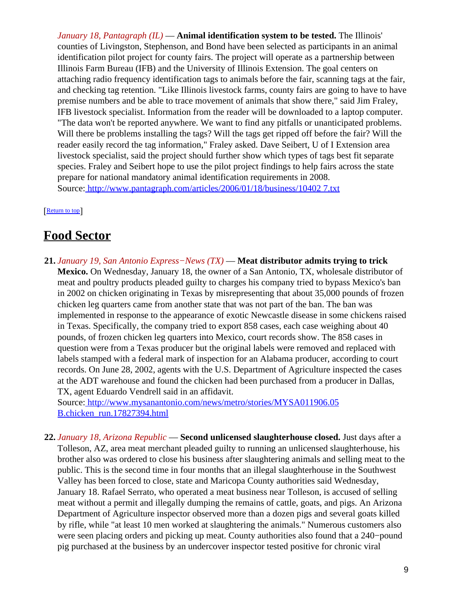*January 18, Pantagraph (IL)* — **Animal identification system to be tested.** The Illinois' counties of Livingston, Stephenson, and Bond have been selected as participants in an animal identification pilot project for county fairs. The project will operate as a partnership between Illinois Farm Bureau (IFB) and the University of Illinois Extension. The goal centers on attaching radio frequency identification tags to animals before the fair, scanning tags at the fair, and checking tag retention. "Like Illinois livestock farms, county fairs are going to have to have premise numbers and be able to trace movement of animals that show there," said Jim Fraley, IFB livestock specialist. Information from the reader will be downloaded to a laptop computer. "The data won't be reported anywhere. We want to find any pitfalls or unanticipated problems. Will there be problems installing the tags? Will the tags get ripped off before the fair? Will the reader easily record the tag information," Fraley asked. Dave Seibert, U of I Extension area livestock specialist, said the project should further show which types of tags best fit separate species. Fraley and Seibert hope to use the pilot project findings to help fairs across the state prepare for national mandatory animal identification requirements in 2008. Source[: http://www.pantagraph.com/articles/2006/01/18/business/10402 7.txt](http://www.pantagraph.com/articles/2006/01/18/business/104027.txt)

[[Return to top](#page-0-1)]

## <span id="page-8-0"></span>**Food Sector**

**21.** *January 19, San Antonio Express−News (TX)* — **Meat distributor admits trying to trick Mexico.** On Wednesday, January 18, the owner of a San Antonio, TX, wholesale distributor of meat and poultry products pleaded guilty to charges his company tried to bypass Mexico's ban in 2002 on chicken originating in Texas by misrepresenting that about 35,000 pounds of frozen chicken leg quarters came from another state that was not part of the ban. The ban was implemented in response to the appearance of exotic Newcastle disease in some chickens raised in Texas. Specifically, the company tried to export 858 cases, each case weighing about 40 pounds, of frozen chicken leg quarters into Mexico, court records show. The 858 cases in question were from a Texas producer but the original labels were removed and replaced with labels stamped with a federal mark of inspection for an Alabama producer, according to court records. On June 28, 2002, agents with the U.S. Department of Agriculture inspected the cases at the ADT warehouse and found the chicken had been purchased from a producer in Dallas, TX, agent Eduardo Vendrell said in an affidavit.

Source[: http://www.mysanantonio.com/news/metro/stories/MYSA011906.05](http://www.mysanantonio.com/news/metro/stories/MYSA011906.05B.chicken_run.17827394.html) [B.chicken\\_run.17827394.html](http://www.mysanantonio.com/news/metro/stories/MYSA011906.05B.chicken_run.17827394.html)

**22.** *January 18, Arizona Republic* — **Second unlicensed slaughterhouse closed.** Just days after a Tolleson, AZ, area meat merchant pleaded guilty to running an unlicensed slaughterhouse, his brother also was ordered to close his business after slaughtering animals and selling meat to the public. This is the second time in four months that an illegal slaughterhouse in the Southwest Valley has been forced to close, state and Maricopa County authorities said Wednesday, January 18. Rafael Serrato, who operated a meat business near Tolleson, is accused of selling meat without a permit and illegally dumping the remains of cattle, goats, and pigs. An Arizona Department of Agriculture inspector observed more than a dozen pigs and several goats killed by rifle, while "at least 10 men worked at slaughtering the animals." Numerous customers also were seen placing orders and picking up meat. County authorities also found that a 240−pound pig purchased at the business by an undercover inspector tested positive for chronic viral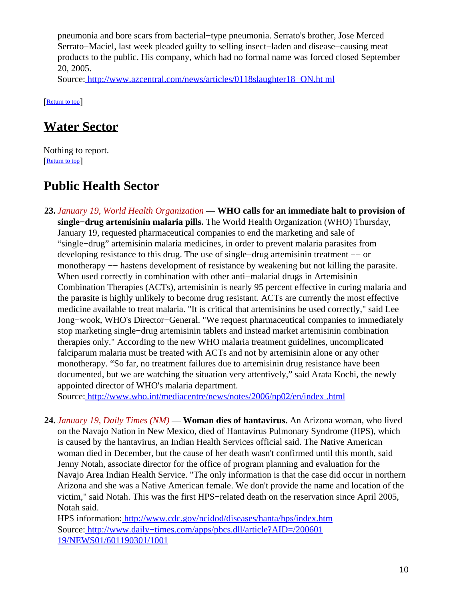pneumonia and bore scars from bacterial−type pneumonia. Serrato's brother, Jose Merced Serrato−Maciel, last week pleaded guilty to selling insect−laden and disease−causing meat products to the public. His company, which had no formal name was forced closed September 20, 2005.

Source[: http://www.azcentral.com/news/articles/0118slaughter18−ON.ht ml](http://www.azcentral.com/news/articles/0118slaughter18-ON.html)

[[Return to top](#page-0-1)]

## <span id="page-9-0"></span>**Water Sector**

Nothing to report. [[Return to top](#page-0-1)]

# <span id="page-9-1"></span>**Public Health Sector**

**23.** *January 19, World Health Organization* — **WHO calls for an immediate halt to provision of single−drug artemisinin malaria pills.** The World Health Organization (WHO) Thursday, January 19, requested pharmaceutical companies to end the marketing and sale of "single−drug" artemisinin malaria medicines, in order to prevent malaria parasites from developing resistance to this drug. The use of single−drug artemisinin treatment −− or monotherapy −− hastens development of resistance by weakening but not killing the parasite. When used correctly in combination with other anti−malarial drugs in Artemisinin Combination Therapies (ACTs), artemisinin is nearly 95 percent effective in curing malaria and the parasite is highly unlikely to become drug resistant. ACTs are currently the most effective medicine available to treat malaria. "It is critical that artemisinins be used correctly," said Lee Jong−wook, WHO's Director−General. "We request pharmaceutical companies to immediately stop marketing single−drug artemisinin tablets and instead market artemisinin combination therapies only." According to the new WHO malaria treatment guidelines, uncomplicated falciparum malaria must be treated with ACTs and not by artemisinin alone or any other monotherapy. "So far, no treatment failures due to artemisinin drug resistance have been documented, but we are watching the situation very attentively," said Arata Kochi, the newly appointed director of WHO's malaria department.

Source[: http://www.who.int/mediacentre/news/notes/2006/np02/en/index .html](http://www.who.int/mediacentre/news/notes/2006/np02/en/index.html)

**24.** *January 19, Daily Times (NM)* — **Woman dies of hantavirus.** An Arizona woman, who lived on the Navajo Nation in New Mexico, died of Hantavirus Pulmonary Syndrome (HPS), which is caused by the hantavirus, an Indian Health Services official said. The Native American woman died in December, but the cause of her death wasn't confirmed until this month, said Jenny Notah, associate director for the office of program planning and evaluation for the Navajo Area Indian Health Service. "The only information is that the case did occur in northern Arizona and she was a Native American female. We don't provide the name and location of the victim," said Notah. This was the first HPS−related death on the reservation since April 2005, Notah said.

HPS information:<http://www.cdc.gov/ncidod/diseases/hanta/hps/index.htm> Source[: http://www.daily−times.com/apps/pbcs.dll/article?AID=/200601](http://www.daily-times.com/apps/pbcs.dll/article?AID=/20060119/NEWS01/601190301/1001) [19/NEWS01/601190301/1001](http://www.daily-times.com/apps/pbcs.dll/article?AID=/20060119/NEWS01/601190301/1001)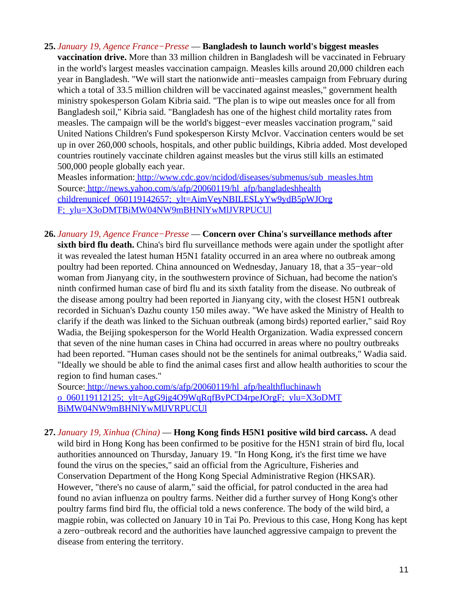**25.** *January 19, Agence France−Presse* — **Bangladesh to launch world's biggest measles vaccination drive.** More than 33 million children in Bangladesh will be vaccinated in February in the world's largest measles vaccination campaign. Measles kills around 20,000 children each year in Bangladesh. "We will start the nationwide anti−measles campaign from February during which a total of 33.5 million children will be vaccinated against measles," government health ministry spokesperson Golam Kibria said. "The plan is to wipe out measles once for all from Bangladesh soil," Kibria said. "Bangladesh has one of the highest child mortality rates from measles. The campaign will be the world's biggest−ever measles vaccination program," said United Nations Children's Fund spokesperson Kirsty McIvor. Vaccination centers would be set up in over 260,000 schools, hospitals, and other public buildings, Kibria added. Most developed countries routinely vaccinate children against measles but the virus still kills an estimated 500,000 people globally each year.

Measles information[: http://www.cdc.gov/ncidod/diseases/submenus/sub\\_measles.htm](http://www.cdc.gov/ncidod/diseases/submenus/sub_measles.htm) Source[: http://news.yahoo.com/s/afp/20060119/hl\\_afp/bangladeshhealth](http://news.yahoo.com/s/afp/20060119/hl_afp/bangladeshhealthchildrenunicef_060119142657;_ylt=AimVeyNBILESLyYw9ydB5pWJOrgF;_ylu=X3oDMTBiMW04NW9mBHNlYwMlJVRPUCUl) [childrenunicef\\_060119142657;\\_ylt=AimVeyNBILESLyYw9ydB5pWJOrg](http://news.yahoo.com/s/afp/20060119/hl_afp/bangladeshhealthchildrenunicef_060119142657;_ylt=AimVeyNBILESLyYw9ydB5pWJOrgF;_ylu=X3oDMTBiMW04NW9mBHNlYwMlJVRPUCUl) [F;\\_ylu=X3oDMTBiMW04NW9mBHNlYwMlJVRPUCUl](http://news.yahoo.com/s/afp/20060119/hl_afp/bangladeshhealthchildrenunicef_060119142657;_ylt=AimVeyNBILESLyYw9ydB5pWJOrgF;_ylu=X3oDMTBiMW04NW9mBHNlYwMlJVRPUCUl)

**26.** *January 19, Agence France−Presse* — **Concern over China's surveillance methods after sixth bird flu death.** China's bird flu surveillance methods were again under the spotlight after it was revealed the latest human H5N1 fatality occurred in an area where no outbreak among poultry had been reported. China announced on Wednesday, January 18, that a 35−year−old woman from Jianyang city, in the southwestern province of Sichuan, had become the nation's ninth confirmed human case of bird flu and its sixth fatality from the disease. No outbreak of the disease among poultry had been reported in Jianyang city, with the closest H5N1 outbreak recorded in Sichuan's Dazhu county 150 miles away. "We have asked the Ministry of Health to clarify if the death was linked to the Sichuan outbreak (among birds) reported earlier," said Roy Wadia, the Beijing spokesperson for the World Health Organization. Wadia expressed concern that seven of the nine human cases in China had occurred in areas where no poultry outbreaks had been reported. "Human cases should not be the sentinels for animal outbreaks," Wadia said. "Ideally we should be able to find the animal cases first and allow health authorities to scour the region to find human cases."

Source[: http://news.yahoo.com/s/afp/20060119/hl\\_afp/healthfluchinawh](http://news.yahoo.com/s/afp/20060119/hl_afp/healthfluchinawho_060119112125;_ylt=AgG9jg4O9WqRqfByPCD4rpeJOrgF;_ylu=X3oDMTBiMW04NW9mBHNlYwMlJVRPUCUl) [o\\_060119112125;\\_ylt=AgG9jg4O9WqRqfByPCD4rpeJOrgF;\\_ylu=X3oDMT](http://news.yahoo.com/s/afp/20060119/hl_afp/healthfluchinawho_060119112125;_ylt=AgG9jg4O9WqRqfByPCD4rpeJOrgF;_ylu=X3oDMTBiMW04NW9mBHNlYwMlJVRPUCUl) [BiMW04NW9mBHNlYwMlJVRPUCUl](http://news.yahoo.com/s/afp/20060119/hl_afp/healthfluchinawho_060119112125;_ylt=AgG9jg4O9WqRqfByPCD4rpeJOrgF;_ylu=X3oDMTBiMW04NW9mBHNlYwMlJVRPUCUl)

**27.** *January 19, Xinhua (China)* — **Hong Kong finds H5N1 positive wild bird carcass.** A dead wild bird in Hong Kong has been confirmed to be positive for the H5N1 strain of bird flu, local authorities announced on Thursday, January 19. "In Hong Kong, it's the first time we have found the virus on the species," said an official from the Agriculture, Fisheries and Conservation Department of the Hong Kong Special Administrative Region (HKSAR). However, "there's no cause of alarm," said the official, for patrol conducted in the area had found no avian influenza on poultry farms. Neither did a further survey of Hong Kong's other poultry farms find bird flu, the official told a news conference. The body of the wild bird, a magpie robin, was collected on January 10 in Tai Po. Previous to this case, Hong Kong has kept a zero−outbreak record and the authorities have launched aggressive campaign to prevent the disease from entering the territory.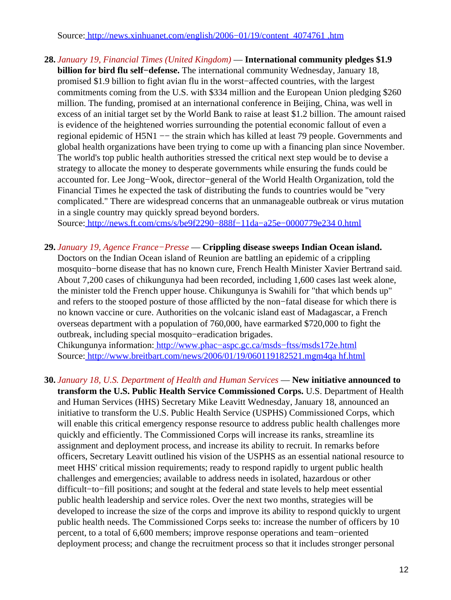Source[: http://news.xinhuanet.com/english/2006−01/19/content\\_4074761 .htm](http://news.xinhuanet.com/english/2006-01/19/content_4074761.htm)

**28.** *January 19, Financial Times (United Kingdom)* — **International community pledges \$1.9 billion for bird flu self−defense.** The international community Wednesday, January 18, promised \$1.9 billion to fight avian flu in the worst−affected countries, with the largest commitments coming from the U.S. with \$334 million and the European Union pledging \$260 million. The funding, promised at an international conference in Beijing, China, was well in excess of an initial target set by the World Bank to raise at least \$1.2 billion. The amount raised is evidence of the heightened worries surrounding the potential economic fallout of even a regional epidemic of H5N1 −− the strain which has killed at least 79 people. Governments and global health organizations have been trying to come up with a financing plan since November. The world's top public health authorities stressed the critical next step would be to devise a strategy to allocate the money to desperate governments while ensuring the funds could be accounted for. Lee Jong−Wook, director−general of the World Health Organization, told the Financial Times he expected the task of distributing the funds to countries would be "very complicated." There are widespread concerns that an unmanageable outbreak or virus mutation in a single country may quickly spread beyond borders.

Source[: http://news.ft.com/cms/s/be9f2290−888f−11da−a25e−0000779e234 0.html](http://news.ft.com/cms/s/be9f2290-888f-11da-a25e-0000779e2340.html)

**29.** *January 19, Agence France−Presse* — **Crippling disease sweeps Indian Ocean island.** Doctors on the Indian Ocean island of Reunion are battling an epidemic of a crippling mosquito−borne disease that has no known cure, French Health Minister Xavier Bertrand said. About 7,200 cases of chikungunya had been recorded, including 1,600 cases last week alone, the minister told the French upper house. Chikungunya is Swahili for "that which bends up" and refers to the stooped posture of those afflicted by the non−fatal disease for which there is no known vaccine or cure. Authorities on the volcanic island east of Madagascar, a French overseas department with a population of 760,000, have earmarked \$720,000 to fight the outbreak, including special mosquito−eradication brigades.

Chikungunya information: [http://www.phac−aspc.gc.ca/msds−ftss/msds172e.html](http://www.phac-aspc.gc.ca/msds-ftss/msds172e.html) Source[: http://www.breitbart.com/news/2006/01/19/060119182521.mgm4qa hf.html](http://www.breitbart.com/news/2006/01/19/060119182521.mgm4qahf.html)

<span id="page-11-0"></span>**30.** *January 18, U.S. Department of Health and Human Services* — **New initiative announced to transform the U.S. Public Health Service Commissioned Corps.** U.S. Department of Health and Human Services (HHS) Secretary Mike Leavitt Wednesday, January 18, announced an initiative to transform the U.S. Public Health Service (USPHS) Commissioned Corps, which will enable this critical emergency response resource to address public health challenges more quickly and efficiently. The Commissioned Corps will increase its ranks, streamline its assignment and deployment process, and increase its ability to recruit. In remarks before officers, Secretary Leavitt outlined his vision of the USPHS as an essential national resource to meet HHS' critical mission requirements; ready to respond rapidly to urgent public health challenges and emergencies; available to address needs in isolated, hazardous or other difficult−to−fill positions; and sought at the federal and state levels to help meet essential public health leadership and service roles. Over the next two months, strategies will be developed to increase the size of the corps and improve its ability to respond quickly to urgent public health needs. The Commissioned Corps seeks to: increase the number of officers by 10 percent, to a total of 6,600 members; improve response operations and team−oriented deployment process; and change the recruitment process so that it includes stronger personal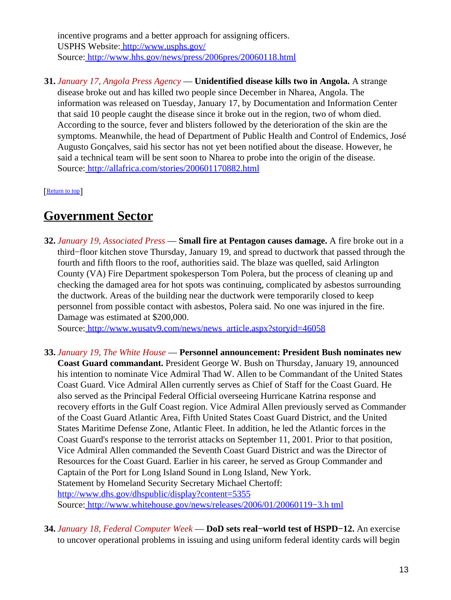incentive programs and a better approach for assigning officers. USPHS Website:<http://www.usphs.gov/> Source[: http://www.hhs.gov/news/press/2006pres/20060118.html](http://www.hhs.gov/news/press/2006pres/20060118.html)

**31.** *January 17, Angola Press Agency* — **Unidentified disease kills two in Angola.** A strange disease broke out and has killed two people since December in Nharea, Angola. The information was released on Tuesday, January 17, by Documentation and Information Center that said 10 people caught the disease since it broke out in the region, two of whom died. According to the source, fever and blisters followed by the deterioration of the skin are the symptoms. Meanwhile, the head of Department of Public Health and Control of Endemics, José Augusto Gonçalves, said his sector has not yet been notified about the disease. However, he said a technical team will be sent soon to Nharea to probe into the origin of the disease. Source[: http://allafrica.com/stories/200601170882.html](http://allafrica.com/stories/200601170882.html)

[[Return to top](#page-0-1)]

## <span id="page-12-0"></span>**Government Sector**

**32.** *January 19, Associated Press* — **Small fire at Pentagon causes damage.** A fire broke out in a third−floor kitchen stove Thursday, January 19, and spread to ductwork that passed through the fourth and fifth floors to the roof, authorities said. The blaze was quelled, said Arlington County (VA) Fire Department spokesperson Tom Polera, but the process of cleaning up and checking the damaged area for hot spots was continuing, complicated by asbestos surrounding the ductwork. Areas of the building near the ductwork were temporarily closed to keep personnel from possible contact with asbestos, Polera said. No one was injured in the fire. Damage was estimated at \$200,000.

Source[: http://www.wusatv9.com/news/news\\_article.aspx?storyid=46058](http://www.wusatv9.com/news/news_article.aspx?storyid=46058)

- **33.** *January 19, The White House* — **Personnel announcement: President Bush nominates new Coast Guard commandant.** President George W. Bush on Thursday, January 19, announced his intention to nominate Vice Admiral Thad W. Allen to be Commandant of the United States Coast Guard. Vice Admiral Allen currently serves as Chief of Staff for the Coast Guard. He also served as the Principal Federal Official overseeing Hurricane Katrina response and recovery efforts in the Gulf Coast region. Vice Admiral Allen previously served as Commander of the Coast Guard Atlantic Area, Fifth United States Coast Guard District, and the United States Maritime Defense Zone, Atlantic Fleet. In addition, he led the Atlantic forces in the Coast Guard's response to the terrorist attacks on September 11, 2001. Prior to that position, Vice Admiral Allen commanded the Seventh Coast Guard District and was the Director of Resources for the Coast Guard. Earlier in his career, he served as Group Commander and Captain of the Port for Long Island Sound in Long Island, New York. Statement by Homeland Security Secretary Michael Chertoff: <http://www.dhs.gov/dhspublic/display?content=5355> Source[: http://www.whitehouse.gov/news/releases/2006/01/20060119−3.h tml](http://www.whitehouse.gov/news/releases/2006/01/20060119-3.html)
- **34.** *January 18, Federal Computer Week* — **DoD sets real−world test of HSPD−12.** An exercise to uncover operational problems in issuing and using uniform federal identity cards will begin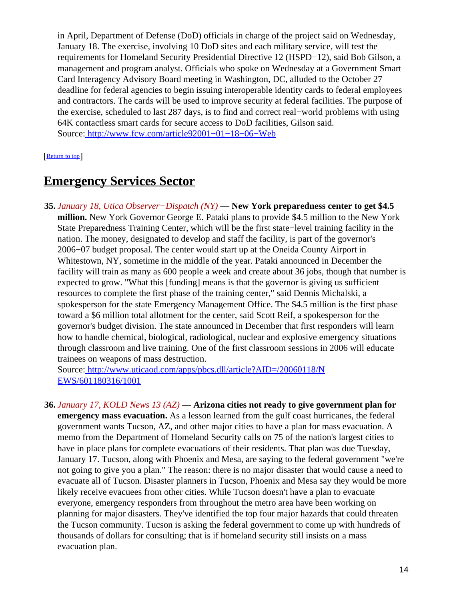in April, Department of Defense (DoD) officials in charge of the project said on Wednesday, January 18. The exercise, involving 10 DoD sites and each military service, will test the requirements for Homeland Security Presidential Directive 12 (HSPD−12), said Bob Gilson, a management and program analyst. Officials who spoke on Wednesday at a Government Smart Card Interagency Advisory Board meeting in Washington, DC, alluded to the October 27 deadline for federal agencies to begin issuing interoperable identity cards to federal employees and contractors. The cards will be used to improve security at federal facilities. The purpose of the exercise, scheduled to last 287 days, is to find and correct real−world problems with using 64K contactless smart cards for secure access to DoD facilities, Gilson said. Source[: http://www.fcw.com/article92001−01−18−06−Web](http://www.fcw.com/article92001-01-18-06-Web)

[[Return to top](#page-0-1)]

## <span id="page-13-0"></span>**Emergency Services Sector**

**35.** *January 18, Utica Observer−Dispatch (NY)* — **New York preparedness center to get \$4.5 million.** New York Governor George E. Pataki plans to provide \$4.5 million to the New York State Preparedness Training Center, which will be the first state−level training facility in the nation. The money, designated to develop and staff the facility, is part of the governor's 2006−07 budget proposal. The center would start up at the Oneida County Airport in Whitestown, NY, sometime in the middle of the year. Pataki announced in December the facility will train as many as 600 people a week and create about 36 jobs, though that number is expected to grow. "What this [funding] means is that the governor is giving us sufficient resources to complete the first phase of the training center," said Dennis Michalski, a spokesperson for the state Emergency Management Office. The \$4.5 million is the first phase toward a \$6 million total allotment for the center, said Scott Reif, a spokesperson for the governor's budget division. The state announced in December that first responders will learn how to handle chemical, biological, radiological, nuclear and explosive emergency situations through classroom and live training. One of the first classroom sessions in 2006 will educate trainees on weapons of mass destruction.

Source[: http://www.uticaod.com/apps/pbcs.dll/article?AID=/20060118/N](http://www.uticaod.com/apps/pbcs.dll/article?AID=/20060118/NEWS/601180316/1001) [EWS/601180316/1001](http://www.uticaod.com/apps/pbcs.dll/article?AID=/20060118/NEWS/601180316/1001)

**36.** *January 17, KOLD News 13 (AZ)* — **Arizona cities not ready to give government plan for emergency mass evacuation.** As a lesson learned from the gulf coast hurricanes, the federal government wants Tucson, AZ, and other major cities to have a plan for mass evacuation. A memo from the Department of Homeland Security calls on 75 of the nation's largest cities to have in place plans for complete evacuations of their residents. That plan was due Tuesday, January 17. Tucson, along with Phoenix and Mesa, are saying to the federal government "we're not going to give you a plan." The reason: there is no major disaster that would cause a need to evacuate all of Tucson. Disaster planners in Tucson, Phoenix and Mesa say they would be more likely receive evacuees from other cities. While Tucson doesn't have a plan to evacuate everyone, emergency responders from throughout the metro area have been working on planning for major disasters. They've identified the top four major hazards that could threaten the Tucson community. Tucson is asking the federal government to come up with hundreds of thousands of dollars for consulting; that is if homeland security still insists on a mass evacuation plan.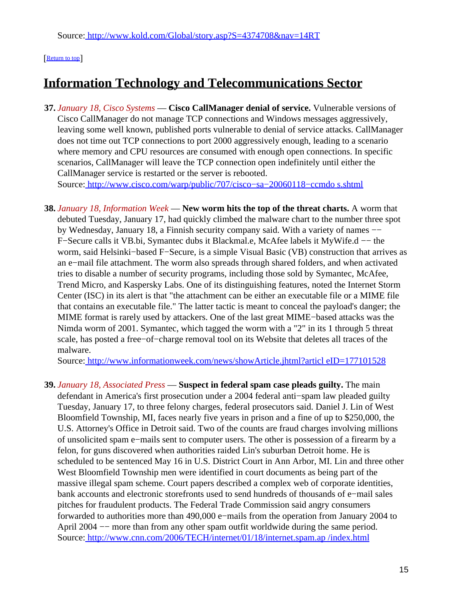### [[Return to top](#page-0-1)]

# <span id="page-14-0"></span>**Information Technology and Telecommunications Sector**

- **37.** *January 18, Cisco Systems* — **Cisco CallManager denial of service.** Vulnerable versions of Cisco CallManager do not manage TCP connections and Windows messages aggressively, leaving some well known, published ports vulnerable to denial of service attacks. CallManager does not time out TCP connections to port 2000 aggressively enough, leading to a scenario where memory and CPU resources are consumed with enough open connections. In specific scenarios, CallManager will leave the TCP connection open indefinitely until either the CallManager service is restarted or the server is rebooted. Source[: http://www.cisco.com/warp/public/707/cisco−sa−20060118−ccmdo s.shtml](http://www.cisco.com/warp/public/707/cisco-sa-20060118-ccmdos.shtml)
- **38.** *January 18, Information Week* — **New worm hits the top of the threat charts.** A worm that debuted Tuesday, January 17, had quickly climbed the malware chart to the number three spot by Wednesday, January 18, a Finnish security company said. With a variety of names −− F−Secure calls it VB.bi, Symantec dubs it Blackmal.e, McAfee labels it MyWife.d −− the worm, said Helsinki−based F−Secure, is a simple Visual Basic (VB) construction that arrives as an e−mail file attachment. The worm also spreads through shared folders, and when activated tries to disable a number of security programs, including those sold by Symantec, McAfee, Trend Micro, and Kaspersky Labs. One of its distinguishing features, noted the Internet Storm Center (ISC) in its alert is that "the attachment can be either an executable file or a MIME file that contains an executable file." The latter tactic is meant to conceal the payload's danger; the MIME format is rarely used by attackers. One of the last great MIME−based attacks was the Nimda worm of 2001. Symantec, which tagged the worm with a "2" in its 1 through 5 threat scale, has posted a free−of−charge removal tool on its Website that deletes all traces of the malware.

Source[: http://www.informationweek.com/news/showArticle.jhtml?articl eID=177101528](http://www.informationweek.com/news/showArticle.jhtml?articleID=177101528)

**39.** *January 18, Associated Press* — **Suspect in federal spam case pleads guilty.** The main defendant in America's first prosecution under a 2004 federal anti−spam law pleaded guilty Tuesday, January 17, to three felony charges, federal prosecutors said. Daniel J. Lin of West Bloomfield Township, MI, faces nearly five years in prison and a fine of up to \$250,000, the U.S. Attorney's Office in Detroit said. Two of the counts are fraud charges involving millions of unsolicited spam e−mails sent to computer users. The other is possession of a firearm by a felon, for guns discovered when authorities raided Lin's suburban Detroit home. He is scheduled to be sentenced May 16 in U.S. District Court in Ann Arbor, MI. Lin and three other West Bloomfield Township men were identified in court documents as being part of the massive illegal spam scheme. Court papers described a complex web of corporate identities, bank accounts and electronic storefronts used to send hundreds of thousands of e−mail sales pitches for fraudulent products. The Federal Trade Commission said angry consumers forwarded to authorities more than 490,000 e−mails from the operation from January 2004 to April 2004 −− more than from any other spam outfit worldwide during the same period. Source[: http://www.cnn.com/2006/TECH/internet/01/18/internet.spam.ap /index.html](http://www.cnn.com/2006/TECH/internet/01/18/internet.spam.ap/index.html)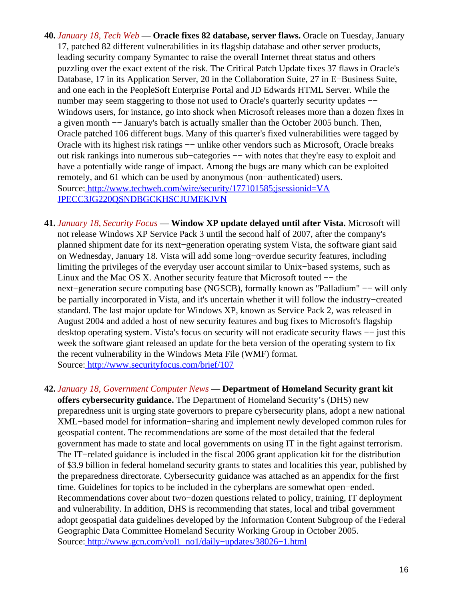- **40.** *January 18, Tech Web* — **Oracle fixes 82 database, server flaws.** Oracle on Tuesday, January 17, patched 82 different vulnerabilities in its flagship database and other server products, leading security company Symantec to raise the overall Internet threat status and others puzzling over the exact extent of the risk. The Critical Patch Update fixes 37 flaws in Oracle's Database, 17 in its Application Server, 20 in the Collaboration Suite, 27 in E−Business Suite, and one each in the PeopleSoft Enterprise Portal and JD Edwards HTML Server. While the number may seem staggering to those not used to Oracle's quarterly security updates −− Windows users, for instance, go into shock when Microsoft releases more than a dozen fixes in a given month −− January's batch is actually smaller than the October 2005 bunch. Then, Oracle patched 106 different bugs. Many of this quarter's fixed vulnerabilities were tagged by Oracle with its highest risk ratings −− unlike other vendors such as Microsoft, Oracle breaks out risk rankings into numerous sub–categories — with notes that they're easy to exploit and have a potentially wide range of impact. Among the bugs are many which can be exploited remotely, and 61 which can be used by anonymous (non−authenticated) users. Source[: http://www.techweb.com/wire/security/177101585;jsessionid=VA](http://www.techweb.com/wire/security/177101585;jsessionid=VAJPECC3JG220QSNDBGCKHSCJUMEKJVN) [JPECC3JG220QSNDBGCKHSCJUMEKJVN](http://www.techweb.com/wire/security/177101585;jsessionid=VAJPECC3JG220QSNDBGCKHSCJUMEKJVN)
- **41.** *January 18, Security Focus* — **Window XP update delayed until after Vista.** Microsoft will not release Windows XP Service Pack 3 until the second half of 2007, after the company's planned shipment date for its next−generation operating system Vista, the software giant said on Wednesday, January 18. Vista will add some long−overdue security features, including limiting the privileges of the everyday user account similar to Unix−based systems, such as Linux and the Mac OS X. Another security feature that Microsoft touted −− the next−generation secure computing base (NGSCB), formally known as "Palladium" −− will only be partially incorporated in Vista, and it's uncertain whether it will follow the industry−created standard. The last major update for Windows XP, known as Service Pack 2, was released in August 2004 and added a host of new security features and bug fixes to Microsoft's flagship desktop operating system. Vista's focus on security will not eradicate security flaws — just this week the software giant released an update for the beta version of the operating system to fix the recent vulnerability in the Windows Meta File (WMF) format. Source[: http://www.securityfocus.com/brief/107](http://www.securityfocus.com/brief/107)
- **42.** *January 18, Government Computer News* — **Department of Homeland Security grant kit offers cybersecurity guidance.** The Department of Homeland Security's (DHS) new preparedness unit is urging state governors to prepare cybersecurity plans, adopt a new national XML−based model for information−sharing and implement newly developed common rules for geospatial content. The recommendations are some of the most detailed that the federal government has made to state and local governments on using IT in the fight against terrorism. The IT−related guidance is included in the fiscal 2006 grant application kit for the distribution of \$3.9 billion in federal homeland security grants to states and localities this year, published by the preparedness directorate. Cybersecurity guidance was attached as an appendix for the first time. Guidelines for topics to be included in the cyberplans are somewhat open−ended. Recommendations cover about two−dozen questions related to policy, training, IT deployment and vulnerability. In addition, DHS is recommending that states, local and tribal government adopt geospatial data guidelines developed by the Information Content Subgroup of the Federal Geographic Data Committee Homeland Security Working Group in October 2005. Source[: http://www.gcn.com/vol1\\_no1/daily−updates/38026−1.html](http://www.gcn.com/vol1_no1/daily-updates/38026-1.html)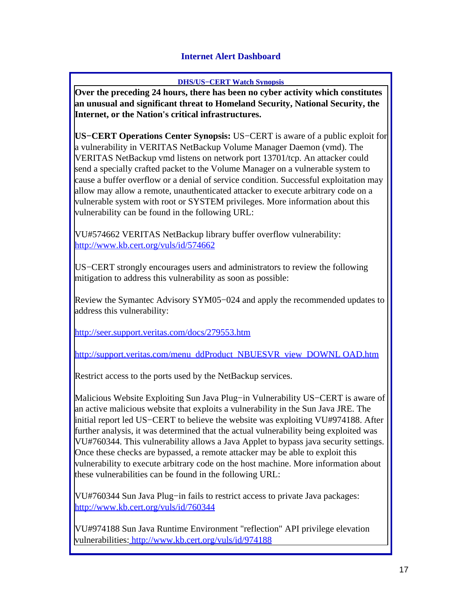## **Internet Alert Dashboard**

#### **DHS/US−CERT Watch Synopsis**

<span id="page-16-0"></span>**Over the preceding 24 hours, there has been no cyber activity which constitutes an unusual and significant threat to Homeland Security, National Security, the Internet, or the Nation's critical infrastructures.**

**US−CERT Operations Center Synopsis:** US−CERT is aware of a public exploit for a vulnerability in VERITAS NetBackup Volume Manager Daemon (vmd). The VERITAS NetBackup vmd listens on network port 13701/tcp. An attacker could send a specially crafted packet to the Volume Manager on a vulnerable system to cause a buffer overflow or a denial of service condition. Successful exploitation may allow may allow a remote, unauthenticated attacker to execute arbitrary code on a vulnerable system with root or SYSTEM privileges. More information about this vulnerability can be found in the following URL:

VU#574662 VERITAS NetBackup library buffer overflow vulnerability: <http://www.kb.cert.org/vuls/id/574662>

US−CERT strongly encourages users and administrators to review the following mitigation to address this vulnerability as soon as possible:

Review the Symantec Advisory SYM05−024 and apply the recommended updates to address this vulnerability:

<http://seer.support.veritas.com/docs/279553.htm>

[http://support.veritas.com/menu\\_ddProduct\\_NBUESVR\\_view\\_DOWNL OAD.htm](http://support.veritas.com/menu_ddProduct_NBUESVR_view_DOWNLOAD.htm)

Restrict access to the ports used by the NetBackup services.

Malicious Website Exploiting Sun Java Plug−in Vulnerability US−CERT is aware of an active malicious website that exploits a vulnerability in the Sun Java JRE. The initial report led US−CERT to believe the website was exploiting VU#974188. After further analysis, it was determined that the actual vulnerability being exploited was VU#760344. This vulnerability allows a Java Applet to bypass java security settings. Once these checks are bypassed, a remote attacker may be able to exploit this vulnerability to execute arbitrary code on the host machine. More information about these vulnerabilities can be found in the following URL:

VU#760344 Sun Java Plug−in fails to restrict access to private Java packages: <http://www.kb.cert.org/vuls/id/760344>

VU#974188 Sun Java Runtime Environment "reflection" API privilege elevation vulnerabilities:<http://www.kb.cert.org/vuls/id/974188>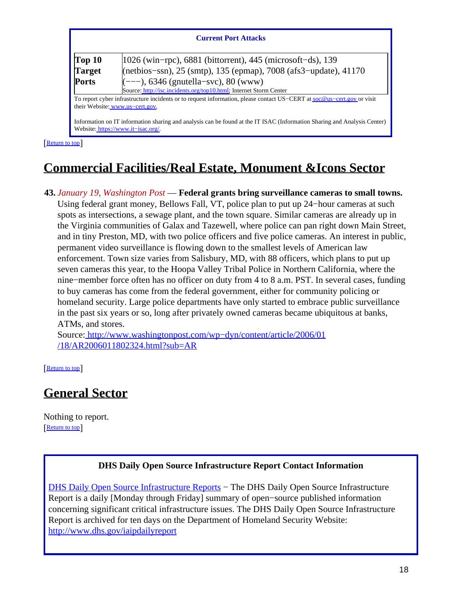#### **Current Port Attacks**

| Top 10        | $ 1026 \text{ (win–rpc)}\rangle$ , 6881 (bittorrent), 445 (microsoft-ds), 139                                              |  |
|---------------|----------------------------------------------------------------------------------------------------------------------------|--|
| <b>Target</b> | (netbios-ssn), 25 (smtp), 135 (epmap), 7008 (afs3-update), 41170                                                           |  |
| <b>Ports</b>  | $(---)$ , 6346 (gnutella–svc), 80 (www)                                                                                    |  |
|               | Source: http://isc.incidents.org/top10.html; Internet Storm Center                                                         |  |
|               | To report cyper infractructure incidents or to request information, please contact HS. CEPT at socialis, cert goy or visit |  |

To report cyber infrastructure incidents or to request information, please contact US−CERT at [soc@us−cert.gov](mailto:soc@us-cert.gov) or visit their Website: [www.us−cert.gov.](http://www.us-cert.gov/)

Information on IT information sharing and analysis can be found at the IT ISAC (Information Sharing and Analysis Center) Website: [https://www.it−isac.org/.](https://www.it-isac.org/)

[[Return to top](#page-0-1)]

# <span id="page-17-0"></span>**Commercial Facilities/Real Estate, Monument &Icons Sector**

### **43.** *January 19, Washington Post* — **Federal grants bring surveillance cameras to small towns.**

Using federal grant money, Bellows Fall, VT, police plan to put up 24−hour cameras at such spots as intersections, a sewage plant, and the town square. Similar cameras are already up in the Virginia communities of Galax and Tazewell, where police can pan right down Main Street, and in tiny Preston, MD, with two police officers and five police cameras. An interest in public, permanent video surveillance is flowing down to the smallest levels of American law enforcement. Town size varies from Salisbury, MD, with 88 officers, which plans to put up seven cameras this year, to the Hoopa Valley Tribal Police in Northern California, where the nine−member force often has no officer on duty from 4 to 8 a.m. PST. In several cases, funding to buy cameras has come from the federal government, either for community policing or homeland security. Large police departments have only started to embrace public surveillance in the past six years or so, long after privately owned cameras became ubiquitous at banks, ATMs, and stores.

Source[: http://www.washingtonpost.com/wp−dyn/content/article/2006/01](http://www.washingtonpost.com/wp-dyn/content/article/2006/01/18/AR2006011802324.html?sub=AR) [/18/AR2006011802324.html?sub=AR](http://www.washingtonpost.com/wp-dyn/content/article/2006/01/18/AR2006011802324.html?sub=AR)

[[Return to top](#page-0-1)]

## <span id="page-17-1"></span>**General Sector**

Nothing to report. [[Return to top](#page-0-1)]

### **DHS Daily Open Source Infrastructure Report Contact Information**

<span id="page-17-2"></span>[DHS Daily Open Source Infrastructure Reports](http://www.dhs.gov/iaipdailyreport) – The DHS Daily Open Source Infrastructure Report is a daily [Monday through Friday] summary of open−source published information concerning significant critical infrastructure issues. The DHS Daily Open Source Infrastructure Report is archived for ten days on the Department of Homeland Security Website: <http://www.dhs.gov/iaipdailyreport>